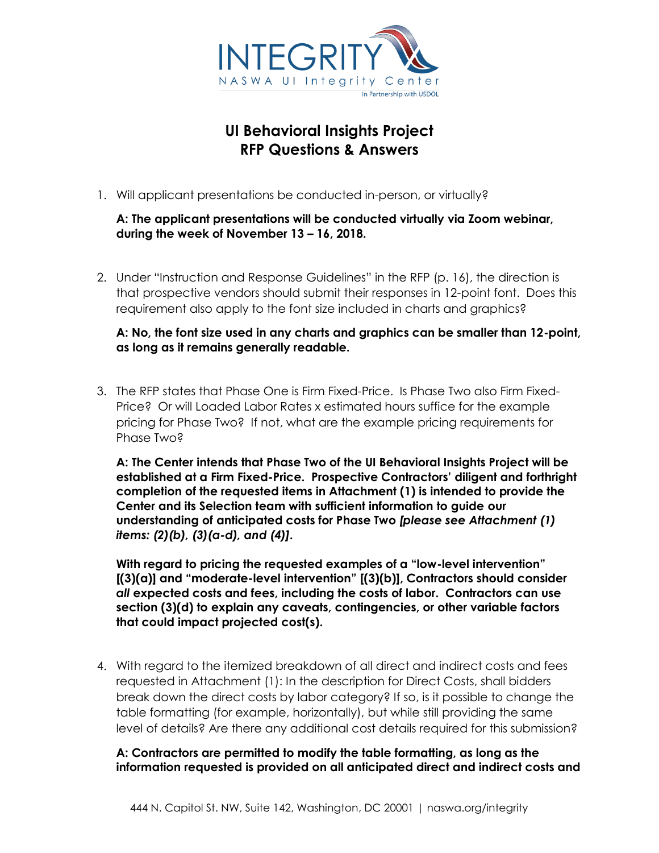

# **UI Behavioral Insights Project RFP Questions & Answers**

1. Will applicant presentations be conducted in-person, or virtually?

### **A: The applicant presentations will be conducted virtually via Zoom webinar, during the week of November 13 – 16, 2018.**

2. Under "Instruction and Response Guidelines" in the RFP (p. 16), the direction is that prospective vendors should submit their responses in 12-point font. Does this requirement also apply to the font size included in charts and graphics?

### **A: No, the font size used in any charts and graphics can be smaller than 12-point, as long as it remains generally readable.**

3. The RFP states that Phase One is Firm Fixed-Price. Is Phase Two also Firm Fixed-Price? Or will Loaded Labor Rates x estimated hours suffice for the example pricing for Phase Two? If not, what are the example pricing requirements for Phase Two?

**A: The Center intends that Phase Two of the UI Behavioral Insights Project will be established at a Firm Fixed-Price. Prospective Contractors' diligent and forthright completion of the requested items in Attachment (1) is intended to provide the Center and its Selection team with sufficient information to guide our understanding of anticipated costs for Phase Two** *[please see Attachment (1) items: (2)(b), (3)(a-d), and (4)]***.** 

**With regard to pricing the requested examples of a "low-level intervention" [(3)(a)] and "moderate-level intervention" [(3)(b)], Contractors should consider**  *all* **expected costs and fees, including the costs of labor. Contractors can use section (3)(d) to explain any caveats, contingencies, or other variable factors that could impact projected cost(s).** 

4. With regard to the itemized breakdown of all direct and indirect costs and fees requested in Attachment (1): In the description for Direct Costs, shall bidders break down the direct costs by labor category? If so, is it possible to change the table formatting (for example, horizontally), but while still providing the same level of details? Are there any additional cost details required for this submission?

## **A: Contractors are permitted to modify the table formatting, as long as the information requested is provided on all anticipated direct and indirect costs and**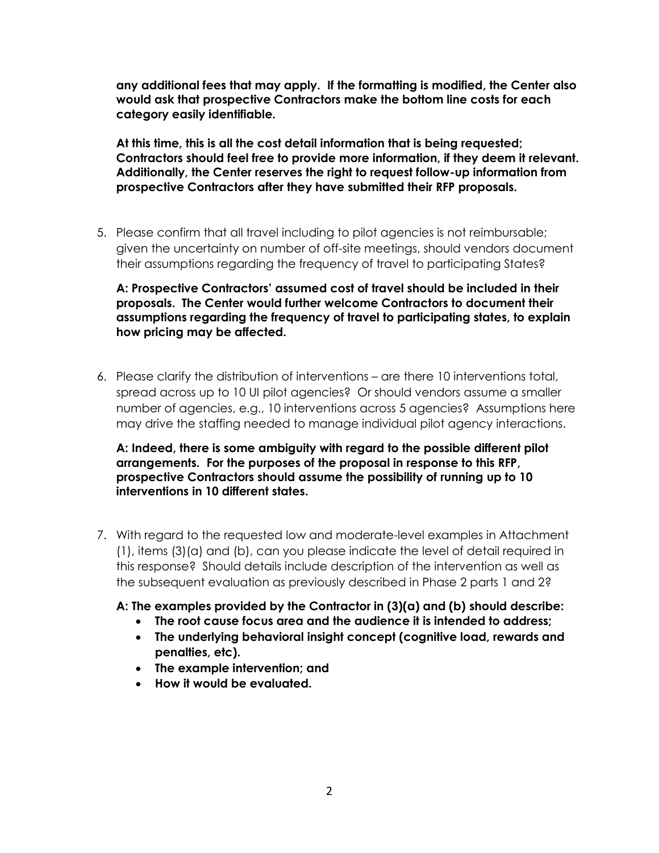**any additional fees that may apply. If the formatting is modified, the Center also would ask that prospective Contractors make the bottom line costs for each category easily identifiable.** 

**At this time, this is all the cost detail information that is being requested; Contractors should feel free to provide more information, if they deem it relevant. Additionally, the Center reserves the right to request follow-up information from prospective Contractors after they have submitted their RFP proposals.**

5. Please confirm that all travel including to pilot agencies is not reimbursable; given the uncertainty on number of off-site meetings, should vendors document their assumptions regarding the frequency of travel to participating States?

**A: Prospective Contractors' assumed cost of travel should be included in their proposals. The Center would further welcome Contractors to document their assumptions regarding the frequency of travel to participating states, to explain how pricing may be affected.**

6. Please clarify the distribution of interventions – are there 10 interventions total, spread across up to 10 UI pilot agencies? Or should vendors assume a smaller number of agencies, e.g., 10 interventions across 5 agencies? Assumptions here may drive the staffing needed to manage individual pilot agency interactions.

**A: Indeed, there is some ambiguity with regard to the possible different pilot arrangements. For the purposes of the proposal in response to this RFP, prospective Contractors should assume the possibility of running up to 10 interventions in 10 different states.**

- 7. With regard to the requested low and moderate-level examples in Attachment (1), items (3)(a) and (b), can you please indicate the level of detail required in this response? Should details include description of the intervention as well as the subsequent evaluation as previously described in Phase 2 parts 1 and 2?
	- **A: The examples provided by the Contractor in (3)(a) and (b) should describe:**
		- **The root cause focus area and the audience it is intended to address;**
		- **The underlying behavioral insight concept (cognitive load, rewards and penalties, etc).**
		- **The example intervention; and**
		- **How it would be evaluated.**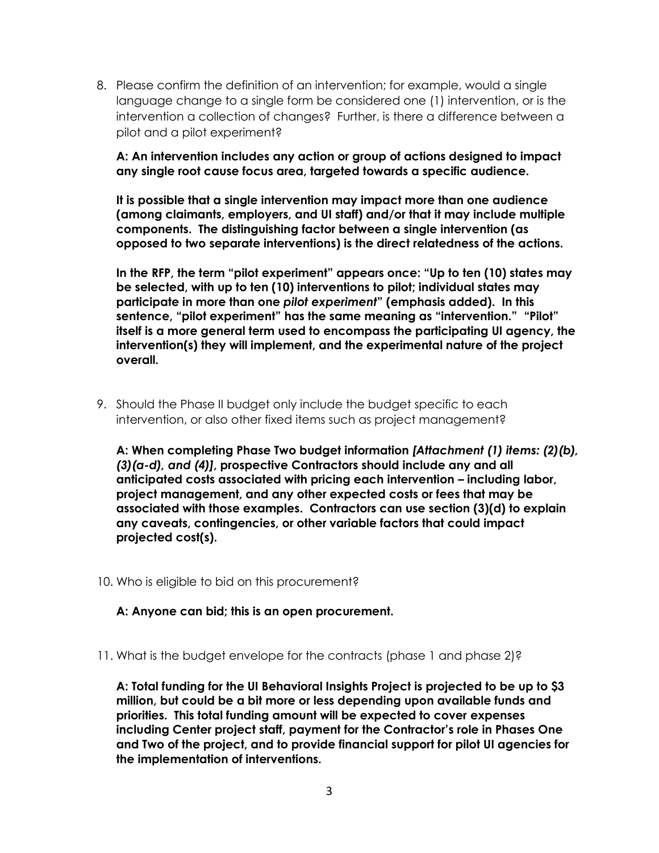8. Please confirm the definition of an intervention; for example, would a single language change to a single form be considered one (1) intervention, or is the intervention a collection of changes? Further, is there a difference between a pilot and a pilot experiment?

#### **A: An intervention includes any action or group of actions designed to impact any single root cause focus area, targeted towards a specific audience.**

**It is possible that a single intervention may impact more than one audience (among claimants, employers, and UI staff) and/or that it may include multiple components. The distinguishing factor between a single intervention (as opposed to two separate interventions) is the direct relatedness of the actions.** 

**In the RFP, the term "pilot experiment" appears once: "Up to ten (10) states may be selected, with up to ten (10) interventions to pilot; individual states may participate in more than one** *pilot experiment***" (emphasis added). In this sentence, "pilot experiment" has the same meaning as "intervention." "Pilot" itself is a more general term used to encompass the participating UI agency, the intervention(s) they will implement, and the experimental nature of the project overall.**

9. Should the Phase II budget only include the budget specific to each intervention, or also other fixed items such as project management?

**A: When completing Phase Two budget information** *[Attachment (1) items: (2)(b), (3)(a-d), and (4)]***, prospective Contractors should include any and all anticipated costs associated with pricing each intervention – including labor, project management, and any other expected costs or fees that may be associated with those examples. Contractors can use section (3)(d) to explain any caveats, contingencies, or other variable factors that could impact projected cost(s).**

10. Who is eligible to bid on this procurement?

**A: Anyone can bid; this is an open procurement.** 

11. What is the budget envelope for the contracts (phase 1 and phase 2)?

**A: Total funding for the UI Behavioral Insights Project is projected to be up to \$3 million, but could be a bit more or less depending upon available funds and priorities. This total funding amount will be expected to cover expenses including Center project staff, payment for the Contractor's role in Phases One and Two of the project, and to provide financial support for pilot UI agencies for the implementation of interventions.**